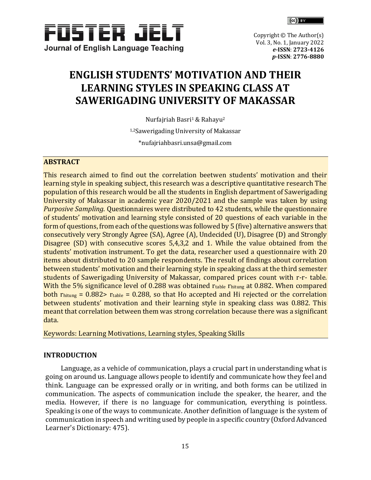

# **ENGLISH STUDENTS' MOTIVATION AND THEIR LEARNING STYLES IN SPEAKING CLASS AT SAWERIGADING UNIVERSITY OF MAKASSAR**

Nurfajriah Basri<sup>1</sup> & Rahayu<sup>2</sup> 1,2Sawerigading University of Makassar [\\*nufajriahbasri.unsa@gmail.com](mailto:nufajriahbasri.unsa@gmail.com)

# **ABSTRACT**

This research aimed to find out the correlation beetwen students' motivation and their learning style in speaking subject, this research was a descriptive quantitative research The population of this research would be all the students in English department of Sawerigading University of Makassar in academic year 2020/2021 and the sample was taken by using *Purposive Sampling*. Questionnaires were distributed to 42 students, while the questionnaire of students' motivation and learning style consisted of 20 questions of each variable in the form of questions, from each of the questions was followed by 5 (five) alternative answers that consecutively very Strongly Agree (SA), Agree (A), Undecided (U), Disagree (D) and Strongly Disagree (SD) with consecutive scores 5,4,3,2 and 1. While the value obtained from the students' motivation instrument. To get the data, researcher used a questionnaire with 20 items about distributed to 20 sample respondents. The result of findings about correlation between students' motivation and their learning style in speaking class at the third semester students of Sawerigading University of Makassar, compared prices count with r-r- table. With the 5% significance level of 0.288 was obtained rtable rhitung at 0.882. When compared both  $r<sub>hitung</sub> = 0.882 > r<sub>table</sub> = 0.288$ , so that Ho accepted and Hi rejected or the correlation between students' motivation and their learning style in speaking class was 0.882. This meant that correlation between them was strong correlation because there was a significant data.

Keywords: Learning Motivations, Learning styles, Speaking Skills

# **INTRODUCTION**

Language, as a vehicle of communication, plays a crucial part in understanding what is going on around us. Language allows people to identify and communicate how they feel and think. Language can be expressed orally or in writing, and both forms can be utilized in communication. The aspects of communication include the speaker, the hearer, and the media. However, if there is no language for communication, everything is pointless. Speaking is one of the ways to communicate. Another definition of language is the system of communication in speech and writing used by people in a specific country (Oxford Advanced Learner's Dictionary: 475).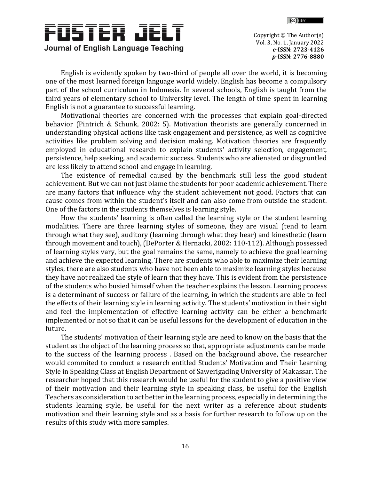



English is evidently spoken by two-third of people all over the world, it is becoming one of the most learned foreign language world widely. English has become a compulsory part of the school curriculum in Indonesia. In several schools, English is taught from the third years of elementary school to University level. The length of time spent in learning English is not a guarantee to successful learning.

Motivational theories are concerned with the processes that explain goal-directed behavior (Pintrich & Schunk, 2002: 5). Motivation theorists are generally concerned in understanding physical actions like task engagement and persistence, as well as cognitive activities like problem solving and decision making. Motivation theories are frequently employed in educational research to explain students' activity selection, engagement, persistence, help seeking, and academic success. Students who are alienated or disgruntled are less likely to attend school and engage in learning.

The existence of remedial caused by the benchmark still less the good student achievement. But we can not just blame the students for poor academic achievement. There are many factors that influence why the student achievement not good. Factors that can cause comes from within the student's itself and can also come from outside the student. One of the factors in the students themselves is learning style.

How the students' learning is often called the learning style or the student learning modalities. There are three learning styles of someone, they are visual (tend to learn through what they see), auditory (learning through what they hear) and kinesthetic (learn through movement and touch), (DePorter & Hernacki, 2002: 110-112). Although possessed of learning styles vary, but the goal remains the same, namely to achieve the goal learning and achieve the expected learning. There are students who able to maximize their learning styles, there are also students who have not been able to maximize learning styles because they have not realized the style of learn that they have. This is evident from the persistence of the students who busied himself when the teacher explains the lesson. Learning process is a determinant of success or failure of the learning, in which the students are able to feel the effects of their learning style in learning activity. The students' motivation in their sight and feel the implementation of effective learning activity can be either a benchmark implemented or not so that it can be useful lessons for the development of education in the future.

The students' motivation of their learning style are need to know on the basis that the student as the object of the learning process so that, appropriate adjustments can be made to the success of the learning process . Based on the background above, the researcher would commited to conduct a research entitled Students' Motivation and Their Learning Style in Speaking Class at English Department of Sawerigading University of Makassar. The researcher hoped that this research would be useful for the student to give a positive view of their motivation and their learning style in speaking class, be useful for the English Teachers as consideration to act better in the learning process, especially in determining the students learning style, be useful for the next writer as a reference about students motivation and their learning style and as a basis for further research to follow up on the results of this study with more samples.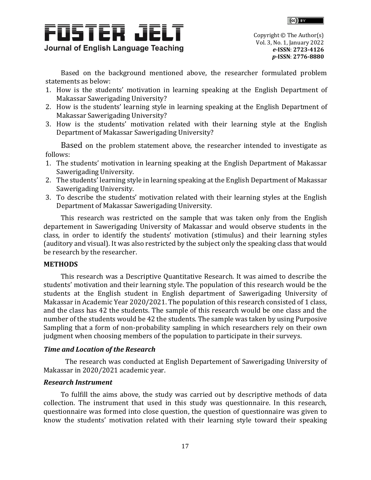



Based on the background mentioned above, the researcher formulated problem statements as below:

- 1. How is the students' motivation in learning speaking at the English Department of Makassar Sawerigading University?
- 2. How is the students' learning style in learning speaking at the English Department of Makassar Sawerigading University?
- 3. How is the students' motivation related with their learning style at the English Department of Makassar Sawerigading University?

Based on the problem statement above, the researcher intended to investigate as follows:

- 1. The students' motivation in learning speaking at the English Department of Makassar Sawerigading University.
- 2. The students' learning style in learning speaking at the English Department of Makassar Sawerigading University.
- 3. To describe the students' motivation related with their learning styles at the English Department of Makassar Sawerigading University.

This research was restricted on the sample that was taken only from the English departement in Sawerigading University of Makassar and would observe students in the class, in order to identify the students' motivation (stimulus) and their learning styles (auditory and visual). It was also restricted by the subject only the speaking class that would be research by the researcher.

## **METHODS**

This research was a Descriptive Quantitative Research. It was aimed to describe the students' motivation and their learning style. The population of this research would be the students at the English student in English department of Sawerigading University of Makassar in Academic Year 2020/2021. The population of this research consisted of 1 class, and the class has 42 the students. The sample of this research would be one class and the number of the students would be 42 the students. The sample was taken by using Purposive Sampling that a form of non-probability sampling in which researchers rely on their own judgment when choosing members of the population to participate in their surveys.

# *Time and Location of the Research*

The research was conducted at English Departement of Sawerigading University of Makassar in 2020/2021 academic year.

# *Research Instrument*

To fulfill the aims above, the study was carried out by descriptive methods of data collection. The instrument that used in this study was questionnaire. In this research, questionnaire was formed into close question, the question of questionnaire was given to know the students' motivation related with their learning style toward their speaking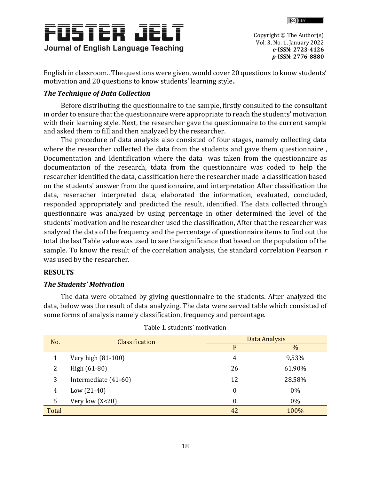



English in classroom.. The questions were given, would cover 20 questions to know students' motivation and 20 questions to know students' learning style**.**

# *The Technique of Data Collection*

Before distributing the questionnaire to the sample, firstly consulted to the consultant in order to ensure that the questionnaire were appropriate to reach the students' motivation with their learning style. Next, the researcher gave the questionnaire to the current sample and asked them to fill and then analyzed by the researcher.

The procedure of data analysis also consisted of four stages, namely collecting data where the researcher collected the data from the students and gave them questionnaire, Documentation and Identification where the data was taken from the questionnaire as documentation of the research, tdata from the questionnaire was coded to help the researcher identified the data, classification here the researcher made a classification based on the students' answer from the questionnaire, and interpretation After classification the data, reseracher interpreted data, elaborated the information, evaluated, concluded, responded appropriately and predicted the result, identified. The data collected through questionnaire was analyzed by using percentage in other determined the level of the students' motivation and he researcher used the classification, After that the researcher was analyzed the data of the frequency and the percentage of questionnaire items to find out the total the last Table value was used to see the significance that based on the population of the sample. To know the result of the correlation analysis, the standard correlation Pearson *r*  was used by the researcher.

# **RESULTS**

# *The Students' Motivation*

The data were obtained by giving questionnaire to the students. After analyzed the data, below was the result of data analyzing. The data were served table which consisted of some forms of analysis namely classification, frequency and percentage.

| No.   | Classification       | Data Analysis    |        |
|-------|----------------------|------------------|--------|
|       |                      | F                | $\%$   |
|       | Very high (81-100)   | 4                | 9,53%  |
| 2     | High (61-80)         | 26               | 61,90% |
| 3     | Intermediate (41-60) | 12               | 28,58% |
| 4     | Low $(21-40)$        | $\boldsymbol{0}$ | $0\%$  |
| 5     | Very low $(X<20)$    | 0                | $0\%$  |
| Total |                      | 42               | 100%   |

Table 1. students' motivation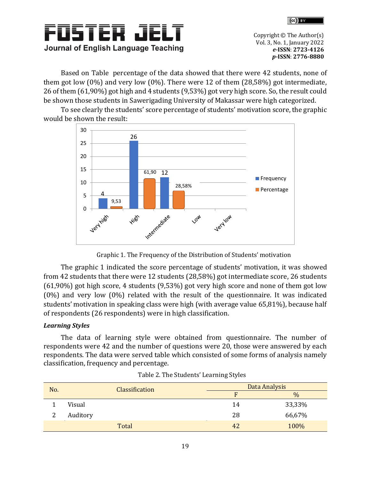



Based on Table percentage of the data showed that there were 42 students, none of them got low (0%) and very low (0%). There were 12 of them (28,58%) got intermediate, 26 of them (61,90%) got high and 4 students (9,53%) got very high score. So, the result could be shown those students in Sawerigading University of Makassar were high categorized.

To see clearly the students' score percentage of students' motivation score, the graphic would be shown the result:



Graphic 1. The Frequency of the Distribution of Students' motivation

The graphic 1 indicated the score percentage of students' motivation, it was showed from 42 students that there were 12 students (28,58%) got intermediate score, 26 students (61,90%) got high score, 4 students (9,53%) got very high score and none of them got low (0%) and very low (0%) related with the result of the questionnaire. It was indicated students' motivation in speaking class were high (with average value 65,81%), because half of respondents (26 respondents) were in high classification.

# *Learning Styles*

The data of learning style were obtained from questionnaire. The number of respondents were 42 and the number of questions were 20, those were answered by each respondents. The data were served table which consisted of some forms of analysis namely classification, frequency and percentage.

| No. | <b>Classification</b> | Data Analysis |               |
|-----|-----------------------|---------------|---------------|
|     |                       |               | $\frac{0}{0}$ |
|     | Visual                | 14            | 33,33%        |
| ി   | Auditory              | 28            | 66,67%        |
|     | Total                 | 42            | 100%          |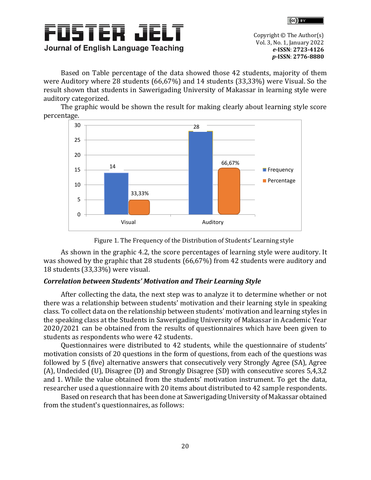



Based on Table percentage of the data showed those 42 students, majority of them were Auditory where 28 students (66,67%) and 14 students (33,33%) were Visual. So the result shown that students in Sawerigading University of Makassar in learning style were auditory categorized.

The graphic would be shown the result for making clearly about learning style score percentage.



Figure 1. The Frequency of the Distribution of Students' Learning style

As shown in the graphic 4.2, the score percentages of learning style were auditory. It was showed by the graphic that 28 students (66,67%) from 42 students were auditory and 18 students (33,33%) were visual.

# *Correlation between Students' Motivation and Their Learning Style*

After collecting the data, the next step was to analyze it to determine whether or not there was a relationship between students' motivation and their learning style in speaking class. To collect data on the relationship between students' motivation and learning styles in the speaking class at the Students in Sawerigading University of Makassar in Academic Year 2020/2021 can be obtained from the results of questionnaires which have been given to students as respondents who were 42 students.

Questionnaires were distributed to 42 students, while the questionnaire of students' motivation consists of 20 questions in the form of questions, from each of the questions was followed by 5 (five) alternative answers that consecutively very Strongly Agree (SA), Agree (A), Undecided (U), Disagree (D) and Strongly Disagree (SD) with consecutive scores 5,4,3,2 and 1. While the value obtained from the students' motivation instrument. To get the data, researcher used a questionnaire with 20 items about distributed to 42 sample respondents.

Based on research that has been done at Sawerigading University of Makassar obtained from the student's questionnaires, as follows: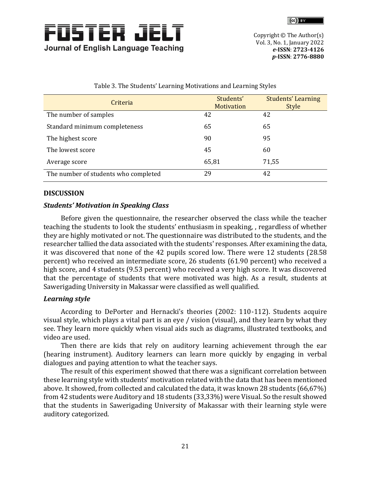



| Criteria                             | Students'<br><b>Motivation</b> | <b>Students' Learning</b><br><b>Style</b> |
|--------------------------------------|--------------------------------|-------------------------------------------|
| The number of samples                | 42                             | 42                                        |
| Standard minimum completeness        | 65                             | 65                                        |
| The highest score                    | 90                             | 95                                        |
| The lowest score                     | 45                             | 60                                        |
| Average score                        | 65,81                          | 71,55                                     |
| The number of students who completed | 29                             | 42                                        |

| Table 3. The Students' Learning Motivations and Learning Styles |  |
|-----------------------------------------------------------------|--|
|                                                                 |  |

### **DISCUSSION**

#### *Students' Motivation in Speaking Class*

Before given the questionnaire, the researcher observed the class while the teacher teaching the students to look the students' enthusiasm in speaking, , regardless of whether they are highly motivated or not. The questionnaire was distributed to the students, and the researcher tallied the data associated with the students' responses. After examining the data, it was discovered that none of the 42 pupils scored low. There were 12 students (28.58 percent) who received an intermediate score, 26 students (61.90 percent) who received a high score, and 4 students (9.53 percent) who received a very high score. It was discovered that the percentage of students that were motivated was high. As a result, students at Sawerigading University in Makassar were classified as well qualified.

#### *Learning style*

According to DePorter and Hernacki's theories (2002: 110-112). Students acquire visual style, which plays a vital part is an eye / vision (visual), and they learn by what they see. They learn more quickly when visual aids such as diagrams, illustrated textbooks, and video are used.

Then there are kids that rely on auditory learning achievement through the ear (hearing instrument). Auditory learners can learn more quickly by engaging in verbal dialogues and paying attention to what the teacher says.

The result of this experiment showed that there was a significant correlation between these learning style with students' motivation related with the data that has been mentioned above. It showed, from collected and calculated the data, it was known 28 students (66,67%) from 42 students were Auditory and 18 students (33,33%) were Visual. So the result showed that the students in Sawerigading University of Makassar with their learning style were auditory categorized.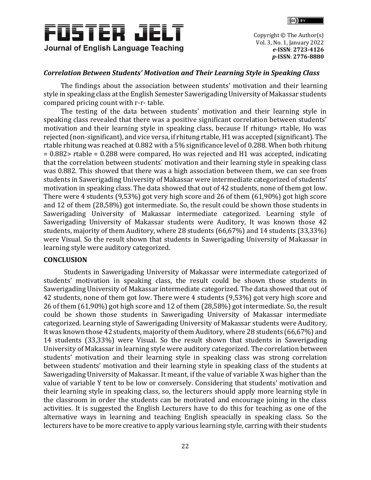



# *Correlation Between Students' Motivation and Their Learning Style in Speaking Class*

The findings about the association between students' motivation and their learning style in speaking class at the English Semester Sawerigading University of Makassar students compared pricing count with r-r- table.

The testing of the data between students' motivation and their learning style in speaking class revealed that there was a positive significant correlation between students' motivation and their learning style in speaking class, because If rhitung> rtable, Ho was rejected (non-significant), and vice versa, if rhitung rtable, H1 was accepted (significant). The rtable rhitung was reached at 0.882 with a 5% significance level of 0.288. When both rhitung = 0.882> rtable = 0.288 were compared, Ho was rejected and H1 was accepted, indicating that the correlation between students' motivation and their learning style in speaking class was 0.882. This showed that there was a high association between them, we can see from students in Sawerigading University of Makassar were intermediate categorized of students' motivation in speaking class. The data showed that out of 42 students, none of them got low. There were 4 students (9,53%) got very high score and 26 of them (61,90%) got high score and 12 of them (28,58%) got intermediate. So, the result could be shown those students in Sawerigading University of Makassar intermediate categorized. Learning style of Sawerigading University of Makassar students were Auditory, It was known those 42 students, majority of them Auditory, where 28 students (66,67%) and 14 students (33,33%) were Visual. So the result shown that students in Sawerigading University of Makassar in learning style were auditory categorized.

# **CONCLUSION**

 Students in Sawerigading University of Makassar were intermediate categorized of students' motivation in speaking class, the result could be shown those students in Sawerigading University of Makassar intermediate categorized. The data showed that out of 42 students, none of them got low. There were 4 students (9,53%) got very high score and 26 of them (61,90%) got high score and 12 of them (28,58%) got intermediate. So, the result could be shown those students in Sawerigading University of Makassar intermediate categorized. Learning style of Sawerigading University of Makassar students were Auditory, It was known those 42 students, majority of them Auditory, where 28 students (66,67%) and 14 students (33,33%) were Visual. So the result shown that students in Sawerigading University of Makassar in learning style were auditory categorized. The correlation between students' motivation and their learning style in speaking class was strong correlation between students' motivation and their learning style in speaking class of the students at Sawerigading University of Makassar. It meant, if the value of variable X was higher than the value of variable Y tent to be low or conversely. Considering that students' motivation and their learning style in speaking class, so, the lecturers should apply more learning style in the classroom in order the students can be motivated and encourage joining in the class activities. It is suggested the English Lecturers have to do this for teaching as one of the alternative ways in learning and teaching English speacially in speaking class. So the lecturers have to be more creative to apply various learning style, carring with their students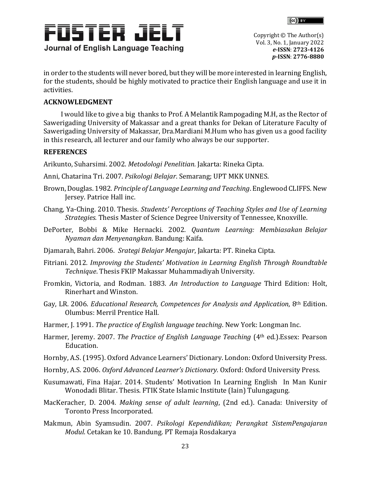

in order to the students will never bored, but they will be more interested in learning English, for the students, should be highly motivated to practice their English language and use it in activities.

## **ACKNOWLEDGMENT**

I would like to give a big thanks to Prof. A Melantik Rampogading M.H, as the Rector of Sawerigading University of Makassar and a great thanks for Dekan of Literature Faculty of Sawerigading University of Makassar, Dra.Mardiani M.Hum who has given us a good facility in this research, all lecturer and our family who always be our supporter.

## **REFERENCES**

Arikunto, Suharsimi. 2002. *Metodologi Penelitian.* Jakarta: Rineka Cipta.

- Anni, Chatarina Tri. 2007. *Psikologi Belajar*. Semarang; UPT MKK UNNES.
- Brown, Douglas. 1982. *Principle of Language Learning and Teaching*. Englewood CLIFFS. New Jersey. Patrice Hall inc.
- Chang, Ya-Ching. 2010. Thesis. *Students' Perceptions of Teaching Styles and Use of Learning Strategies.* Thesis Master of Science Degree University of Tennessee, Knoxville.
- DePorter, Bobbi & Mike Hernacki. 2002. *Quantum Learning: Membiasakan Belajar Nyaman dan Menyenangkan*. Bandung: Kaifa.
- Djamarah, Bahri. 2006. *Srategi Belajar Mengajar*, Jakarta: PT. Rineka Cipta.
- Fitriani. 2012. *Improving the Students' Motivation in Learning English Through Roundtable Technique*. Thesis FKIP Makassar Muhammadiyah University.
- Fromkin, Victoria, and Rodman. 1883. *An Introduction to Language* Third Edition: Holt, Rinerhart and Winston.
- Gay, LR. 2006. *Educational Research, Competences for Analysis and Application*, 8th Edition. Olumbus: Merril Prentice Hall.
- Harmer, J. 1991. *The practice of English language teaching*. New York: Longman Inc.
- Harmer, Jeremy. 2007. *The Practice of English Language Teaching* (4th ed.).Essex: Pearson Education.
- Hornby, A.S. (1995). Oxford Advance Learners' Dictionary. London: Oxford University Press.
- Hornby, A.S. 2006. *Oxford Advanced Learner's Dictionary.* Oxford: Oxford University Press.
- Kusumawati, Fina Hajar. 2014. Students' Motivation In Learning English In Man Kunir Wonodadi Blitar. Thesis. FTIK State Islamic Institute (Iain) Tulungagung.
- MacKeracher, D. 2004. *Making sense of adult learning*, (2nd ed.). Canada: University of Toronto Press Incorporated.
- Makmun, Abin Syamsudin. 2007. *Psikologi Kependidikan; Perangkat SistemPengajaran Modul*. Cetakan ke 10. Bandung. PT Remaja Rosdakarya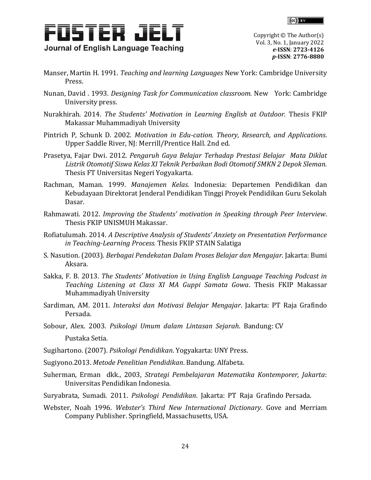



- Manser, Martin H. 1991. *Teaching and learning Languages* New York: Cambridge University Press.
- Nunan, David . 1993. *Designing Task for Communication classroom.* New York: Cambridge University press.
- Nurakhirah. 2014. *The Students' Motivation in Learning English at Outdoor.* Thesis FKIP Makassar Muhammadiyah University
- Pintrich P, Schunk D. 2002. *Motivation in Edu-cation. Theory, Research, and Applications*. Upper Saddle River, NJ: Merrill/Prentice Hall. 2nd ed.
- Prasetya, Fajar Dwi. 2012. *Pengaruh Gaya Belajar Terhadap Prestasi Belajar Mata Diklat Listrik Otomotif Siswa Kelas XI Teknik Perbaikan Bodi Otomotif SMKN 2 Depok Sleman.*  Thesis FT Universitas Negeri Yogyakarta.
- Rachman, Maman. 1999. *Manajemen Kelas.* Indonesia: Departemen Pendidikan dan Kebudayaan Direktorat Jenderal Pendidikan Tinggi Proyek Pendidikan Guru Sekolah Dasar.
- Rahmawati. 2012. *Improving the Students' motivation in Speaking through Peer Interview*. Thesis FKIP UNISMUH Makassar.
- Rofiatulumah. 2014. *A Descriptive Analysis of Students' Anxiety on Presentation Performance in Teaching-Learning Process.* Thesis FKIP STAIN Salatiga
- S. Nasution. (2003). *Berbagai Pendekatan Dalam Proses Belajar dan Mengajar*. Jakarta: Bumi Aksara.
- Sakka, F. B. 2013. *The Students' Motivation in Using English Language Teaching Podcast in Teaching Listening at Class XI MA Guppi Samata Gowa*. Thesis FKIP Makassar Muhammadiyah University
- Sardiman, AM. 2011. *Interaksi dan Motivasi Belajar Mengajar*. Jakarta: PT Raja Grafindo Persada.
- Sobour, Alex. 2003. *Psikologi Umum dalam Lintasan Sejarah*. Bandung: CV Pustaka Setia.
- Sugihartono. (2007). *Psikologi Pendidikan*. Yogyakarta: UNY Press.
- Sugiyono.2013. *Metode Penelitian Pendidikan*. Bandung. Alfabeta.
- Suherman, Erman dkk., 2003, *Strategi Pembelajaran Matematika Kontemporer, Jakarta*: Universitas Pendidikan Indonesia.
- Suryabrata, Sumadi. 2011. *Psikologi Pendidikan*. Jakarta: PT Raja Grafindo Persada.
- Webster, Noah 1996. *Webster's Third New International Dictionary*. Gove and Merriam Company Publisher. Springfield, Massachusetts, USA.